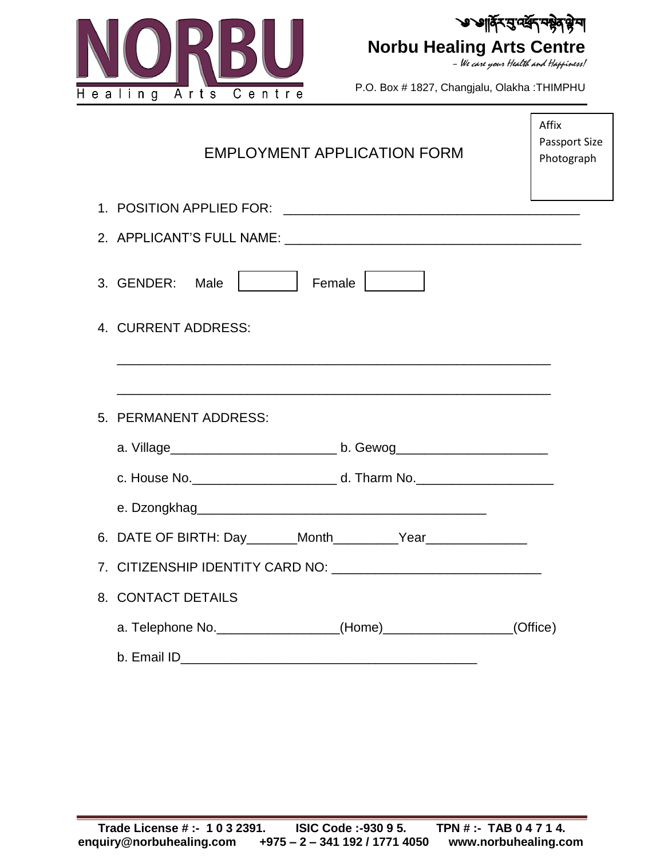



– We care your Health and Happiness!

г

P.O. Box # 1827, Changjalu, Olakha :THIMPHU

| <b>EMPLOYMENT APPLICATION FORM</b>                                               | Affix<br>Passport Size<br>Photograph |
|----------------------------------------------------------------------------------|--------------------------------------|
|                                                                                  |                                      |
|                                                                                  |                                      |
| Female    <br>3. GENDER: Male                                                    |                                      |
| 4. CURRENT ADDRESS:                                                              |                                      |
|                                                                                  |                                      |
| 5. PERMANENT ADDRESS:                                                            |                                      |
|                                                                                  |                                      |
|                                                                                  |                                      |
|                                                                                  |                                      |
| 6. DATE OF BIRTH: Day _______Month ___________Year _____________________________ |                                      |
|                                                                                  |                                      |
| 8. CONTACT DETAILS                                                               |                                      |
| a. Telephone No. ________________(Home)________________(Office)                  |                                      |
| b. Email ID                                                                      |                                      |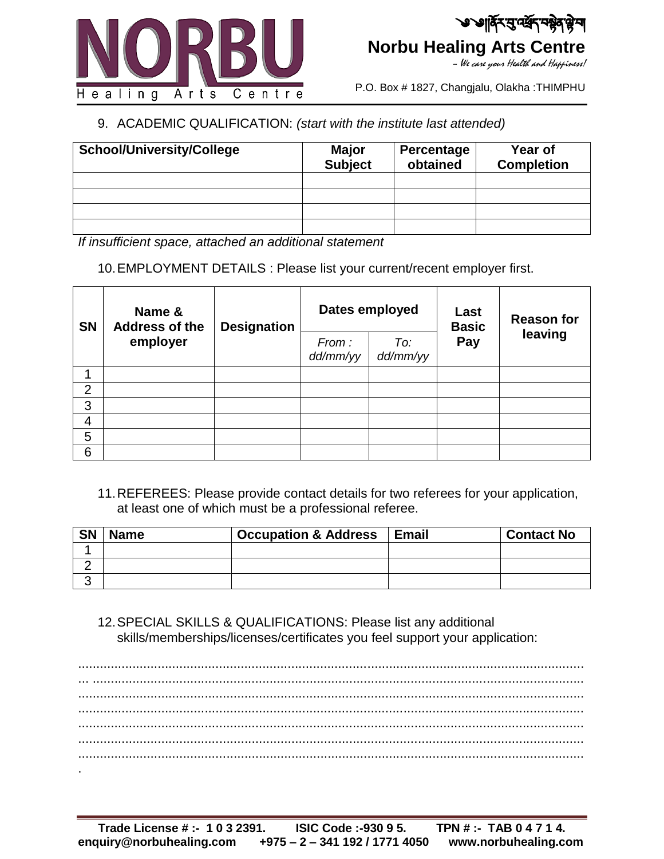

P.O. Box # 1827, Changjalu, Olakha :THIMPHU

## 9. ACADEMIC QUALIFICATION: *(start with the institute last attended)*

| <b>School/University/College</b> | Major<br><b>Subject</b> | Percentage<br>obtained | Year of<br><b>Completion</b> |
|----------------------------------|-------------------------|------------------------|------------------------------|
|                                  |                         |                        |                              |
|                                  |                         |                        |                              |
|                                  |                         |                        |                              |
|                                  |                         |                        |                              |

*If insufficient space, attached an additional statement*

10.EMPLOYMENT DETAILS : Please list your current/recent employer first.

| <b>SN</b>      | Name &<br><b>Address of the</b><br>employer | <b>Designation</b> | Dates employed    |                 | Last<br><b>Basic</b> | <b>Reason for</b> |
|----------------|---------------------------------------------|--------------------|-------------------|-----------------|----------------------|-------------------|
|                |                                             |                    | From:<br>dd/mm/yy | To:<br>dd/mm/yy | Pay                  | leaving           |
|                |                                             |                    |                   |                 |                      |                   |
| $\overline{2}$ |                                             |                    |                   |                 |                      |                   |
| 3              |                                             |                    |                   |                 |                      |                   |
| 4              |                                             |                    |                   |                 |                      |                   |
| 5              |                                             |                    |                   |                 |                      |                   |
| 6              |                                             |                    |                   |                 |                      |                   |

11.REFEREES: Please provide contact details for two referees for your application, at least one of which must be a professional referee.

| <b>SN</b> | <b>Name</b> | <b>Occupation &amp; Address</b> | <b>Email</b> | <b>Contact No</b> |
|-----------|-------------|---------------------------------|--------------|-------------------|
|           |             |                                 |              |                   |
|           |             |                                 |              |                   |
|           |             |                                 |              |                   |

12.SPECIAL SKILLS & QUALIFICATIONS: Please list any additional skills/memberships/licenses/certificates you feel support your application:

............................................................................................................................................ ... ........................................................................................................................................ ............................................................................................................................................ ............................................................................................................................................ ............................................................................................................................................ ............................................................................................................................................ ............................................................................................................................................ .